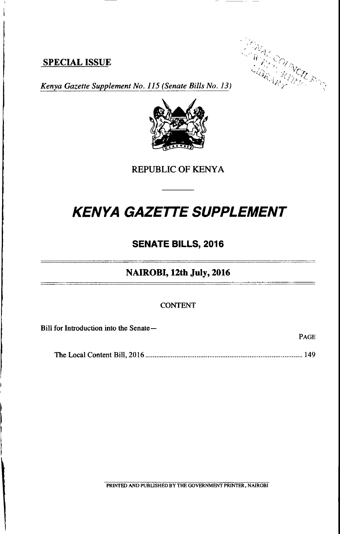# SPECIAL ISSUE



PAGE

Kenya Gazette Supplement No. 115 (Senate Bills No. 13)



REPUBLIC OF KENYA

# KENYA GAZETTE SUPPLEMENT

# SENATE BILLS, 2016

#### NAIROBI, 12th July, 2016

#### CONTENT

Bill for Introduction into the Senate-

The Local Content Bill,2016 ....................149

PRINTED AND PUBUSHED BY THE GOVERNMENT PRINTER, NAIROBI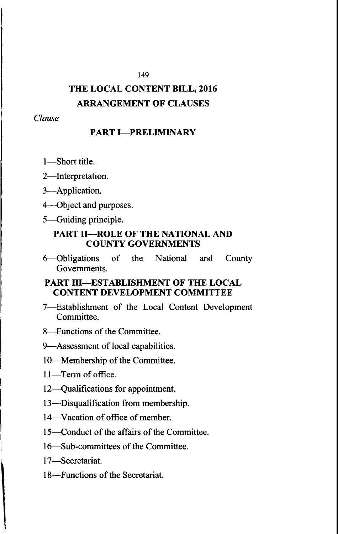# THE LOCAL CONTENT BILL, 2016 ARRANGEMENT OF CLAUSES

149

Clause

# **PART I-PRELIMINARY**

- 1-Short title.
- 2-Interpretation.
- 3-Application.
- 4-Object and purposes.
- S-Guiding principle.

### PART II-ROLE OF THE NATIONAL AND COUNTY GOVERNMENTS

6-Obligations of the National and County Governments.

### PART III---ESTABLISHMENT OF THE LOCAL CONTENT DEVELOPMENT COMMITTEE

- 7-Establishment of the Local Content Development Committee.
- S-Functions of the Committee.

9-Assessment of local capabilities.

- lO-Membership of the Committee.
- 11-Term of office.
- 12-Qualifications for appointment.
- 13-Disqualification from membership.
- 14-Vacation of office of member.
- 15—Conduct of the affairs of the Committee.
- <sup>1</sup>6-Sub-committees of the Committee.
- 17-Secretariat.
- 18-Functions of the Secretariat.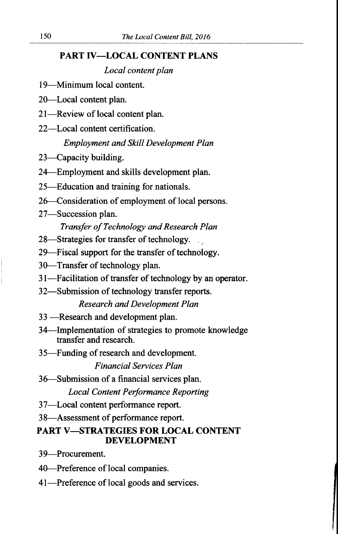### PART IV-LOCAL CONTENT PLANS

Local content plan

<sup>I</sup>9-Minimum local content.

20-Local content plan.

21-Review of local content plan.

22-Local content certification.

# Employment and Skill Development Plan

- 23—Capacity building.
- 24-Employment and skills development plan.
- 25-Education and training for nationals.
- 26-Consideration of employment of local persons.
- 27-Succession plan.

# Transfer of Technology and Research Plan

- 28—Strategies for transfer of technology.
- 29—Fiscal support for the transfer of technology.
- 30-Transfer of technology plan.
- 3l-Facilitation of transfer of technology by an operator.
- 32-Submission of technology transfer reports.

Research and Development Plan

- 33 —Research and development plan.
- -Research 34-Implementation of strategies to promote knowledge transfer and research.
- 35-Funding of research and development.

Financial Services Plan

36-Submission of a financial services plan.

Local Content Performance Reporting

- <sup>37</sup>-Local content performance report.
- <sup>3</sup>8-Assessment of performance report.

# PART V-STRATEGIES FOR LOCAL CONTENT DEVELOPMENT

39-Procurement.

- 40-Preference of local companies.
- 41-Preference of local goods and services.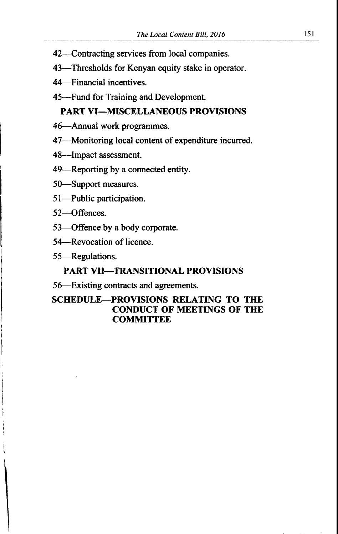- 42-Contracting services from local companies.
- 43-Thresholds for Kenyan equity stake in operator.
- 44-Financial incentives.
- 45-Fund for Training and Development.

### PART VI-MISCELLANEOUS PROVISIONS

- 4G-Annual work programmes.
- 47-Monitoring local content of expenditure incurred.
- 48--Impact assessment.
- 49-Reporting by a connected entity.
- 5G--Support measures.
- 51-Public participation.
- 52-Offences.
- 53-Offence by a body corporate.
- 54-Revocation of licence.
- 55-Regulations.

#### PART VII-TRANSITIONAL PROVISIONS

5G-Existing contraets and agreements.

# SCHEDULE-PROVISIONS RELATING TO THE CONDUCT OF MEETINGS OF THE **COMMITTEE**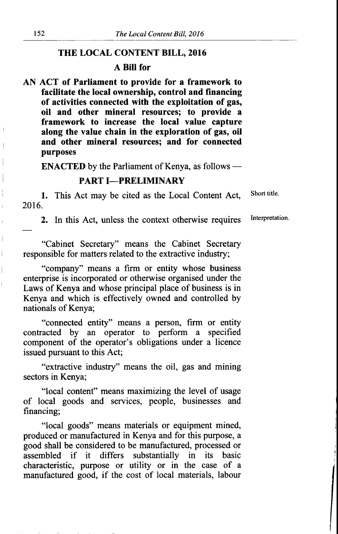#### THE LOCAL CONTENT BILL, 2016

#### A BilI for

AN ACT of Parliament to provide for a framework to facilitate the local ownership, control and financing of activities connected with the exploitation of gas, oil and other mineral resources; to provide a framework to increase the local value capture along the value chain in the exploration of gas, oil and other mineral resources; and for connected purposes

**ENACTED** by the Parliament of Kenya, as follows –

#### PART I-PRELIMINARY

1. This Act may be cited as the Local Content Act, 2016.

2. In this Act, unless the context otherwise requires

"Cabinet Secretary" means the Cabinet Secretary responsible for matters related to the extractive industry;

"company" means a firm or entity whose business enterprise is incorporated or otherwise organised under the Laws of Kenya and whose principal place of business is in Kenya and which is effectively owned and controlled by nationals of Kenya;

"connected entity" means a person, firm or entity contracted by an operator to perform a specified component of the operator's obligations under a licence issued pursuant to this Act;

"extractive industry" means the oil, gas and mining sectors in Kenya;

"local content" means maximizing the level of usage of local goods and services, people, businesses and financing;

"local goods" means materials or equipment mined, produced or manufactured in Kenya and for this purpose, a good shall be considered to be manufactured, processed or assembled if it differs substantially in its basic characteristic, purpose or utility or in the case of <sup>a</sup> manufactured good, if the cost of local materials, labour

 $\overline{\phantom{a}}$ 

I  $\frac{1}{2}$  Short title.

Interpretation.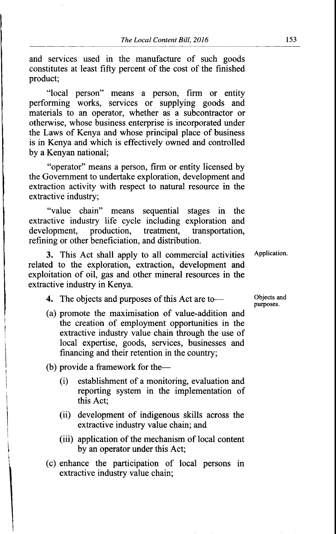and services used in the manufacture of such goods constitutes at least fifty percent of the cost of the finished product;

"local person" means a person, firm or entity performing works, services or supplying goods and materials to an operator, whether as a subcontractor or otherwise, whose business enterprise is incorporated under the Laws of Kenya and whose principal place of business is in Kenya and which is effectively owned and controlled by a Kenyan national;

"operator" means a person, firm or entity licensed by the Govemment to undertake exploration, development and extraction activity with respect to natural resource in the extractive industry;

"value chain" means sequential stages in the extractive industry life cycle including exploration and development, production, treatment, transportation, refining or other beneficiation, and distribution.

3. This Act shall apply to all commercial activities related to the exploration, extraction, development and exploitation of oil, gas and other mineral resources in the extractive industry in Kenya.

4. The objects and purposes of this Act are to-

(a) promote the maximisation of value-addition and the creation of employment opportunities in the extractive industry value chain through the use of local expertise, goods, services, businesses and financing and their retention in the country;

(b) provide a framework for the-

- (i) establishment of a monitoring, evaluation and reporting system in the implementation of this Act;
- (ii) development of indigenous skills across the extractive industry value chain; and
- (iii) application of the mechanism of local content by an operator under this Act;
- (c) enhance the participation of local persons in extractive industry value chain;

Objects and purposes.

Application.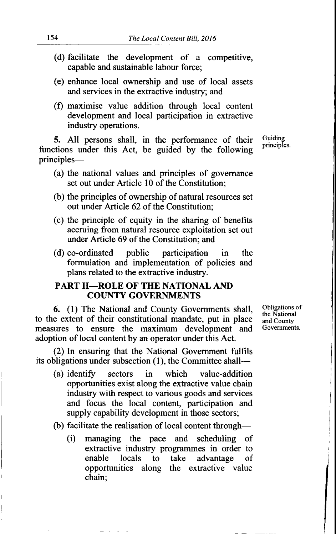- (d) facilitate the development of a competitive, capable and sustainable labour force;
- (e) enhance local ownership and use of local assets and services in the extractive industry; and
- (f) maximise value addition through local content development and local participation in extractive industry operations.

5. All persons shall, in the performance of their Guiding principles. functions under this Act, be guided by the following principles-

- (a) the national values and principles of govemance set out under Article l0 of the Constitution;
- (b) the principles of ownership of natural resources set out under Article 62 of the Constitution;
- (c) the principle of equity in the sharing of benefits accruing from nafural resource exploitation set out under Article 69 of the Constitution; and
- (d) co-ordinated public participation in the formulation and implementation of policies and plans related to the extractive industry.

#### PART II-ROLE OF THE NATIONAL AND COUNTY GOVERNMENTS

6. (1) The National and County Governments shall, Obligations of the National to the extent of their constitutional mandate, put in place  $\frac{d}{dt}$  and County measures to ensure the maximum development and Governments. measures to ensure the maximum development and adoption of local content by an operator under this Act.

(2) In ensuring that the National Government fulfils its obligations under subsection (1), the Committee shall-

- (a) identify sectors in which value-addition opportunities exist along the extractive value chain industry with respect to various goods and services and focus the local content, participation and supply capability development in those sectors;
- (b) facilitate the realisation of local content through-
	- (i) managing the pace and scheduling of extractive industry programmes in order to enable locals to take advantage of opportunities along the extractive value chain;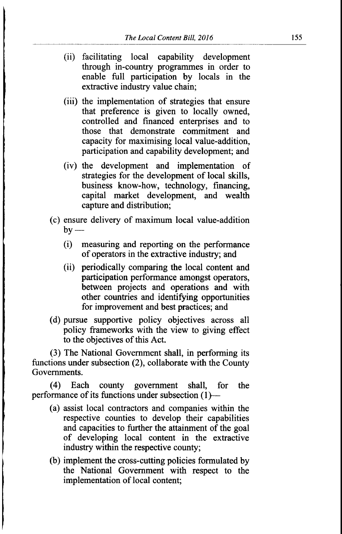- (ii) facilitating local capability development through in-country prograrnmes in order to enable full participation by locals in the extractive industry value chain;
- (iii) the implementation of strategies that ensure that preference is given to locally owned, controlled and financed enterprises and to those that demonstrate commitment and capacity for maximising local value-addition, participation and capability development; and
- (iv) the development and implementation of strategies for the development of local skills, business know-how, technology, financing, capital market development, and wealth capture and distribution;
- (c) ensure delivery of maximum local value-addition by  $-$ 
	- (i) measuring and reporting on the performance of operators in the exffactive industry; and
	- (ii) periodically comparing the local content and participation performance amongst operators, between projects and operations and with other countries and identiffing opportunities for improvement and best practices; and
- (d) pursue supportive policy objectives across all policy frameworks with the view to giving effect to the objectives of this Act.

(3) The National Government shall, in performing its functions under subsection (2), collaborate with the County Governments.

(4) Each county government shall, for the performance of its functions under subsection  $(1)$ —

- (a) assist local contractors and companies within the respective counties to develop their capabilities and capacities to further the attainment of the goal of developing local content in the extractive industry within the respective county;
- (b) implement the cross-cutting policies formulated by the National Government with respect to the implementation of local content;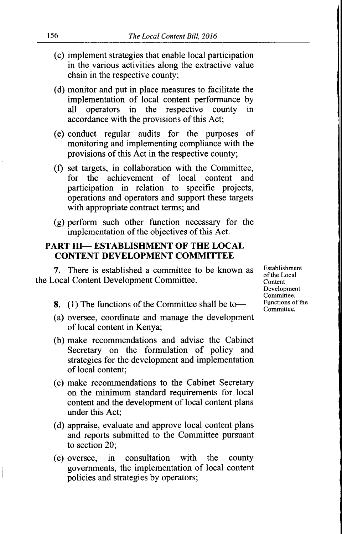- (c) implement strategies that enable local participation in the various activities along the extractive value chain in the respective county;
- (d) monitor and put in place measures to facilitate the implementation of local content performance by all operators in the respective county in accordance with the provisions of this Act;
- (e) conduct regular audits for the purposes of monitoring and implementing compliance with the provisions of this Act in the respective county;
- (f) set targets, in collaboration with the Committee, for the achievement of local content and participation in relation to specific projects, operations and operators and support these targets with appropriate contract terms; and
- (g) perform such other function necessary for the implementation of the objectives of this Act.

#### PART III- ESTABLISHMENT OF THE LOCAL CONTENT DEVELOPMENT COMMITTEE

7. There is established a committee to be known as the Local Content Development Committee.

- 8. (1) The functions of the Committee shall be to-
- (a) oversee, coordinate and manage the development of local content in Kenya;
- (b) make recommendations and advise the Cabinet Secretary on the formulation of policy and strategies for the development and implementation of local content;
- (c) make recommendations to the Cabinet Secretary on the minimum standard requirements for local content and the development of local content plans under this Act;
- (d) appraise, evaluate and approve local content plans and reports submitted to the Committee pursuant to section 20;
- (e) oversee, in consultation with the county govemments, the implementation of local content policies and strategies by operators;

Establishment ofthe Local Content Development Committee. Functions of the Committee.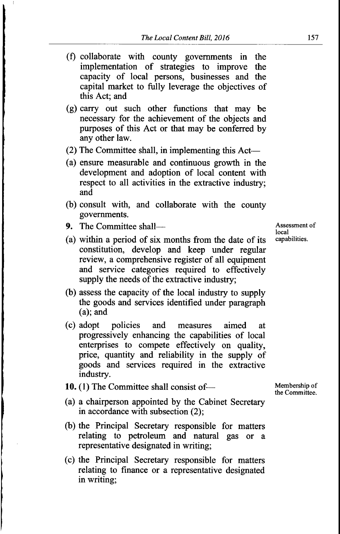- (f) collaborate with county govemments in the implementation of strategies to improve the capacity of local persons, businesses and the capital market to fully leverage the objectives of this Act; and
- (g) carry out such other functions that may be necessary for the achievement of the objects and purposes of this Act or that may be conferred by any other law.
- (2) The Committee shall, in implementing this Act-
- (a) ensure measurable and continuous growth in the development and adoption of local content with respect to all activities in the extractive industry; and
- (b) consult with, and collaborate with the county governments.
- 9. The Committee shall-
- (a) within a period of six months from the date of its constitution, develop and keep under regular review, a comprehensive register of all equipment and service categories required to effectively supply the needs of the extractive industry;
- (b) assess the capacity of the local industry to supply the goods and services identified under paragraph (a); and
- (c) adopt policies and measures aimed at progressively enhancing the capabilities of local enterprises to compete effectively on quality, price, quantity and reliability in the supply of goods and services required in the extractive industry.
- 10. (1) The Committee shall consist of-
- (a) a chairperson appointed by the Cabinet Secretary in accordance with subsection (2);
- (b) the Principal Secretary responsible for matters relating to petroleum and natural gas or <sup>a</sup> representative designated in writing;
- (c) the Principal Secretary responsible for matters relating to finance or a representative designated in writing;

Assessment of local capabilities.

Membership of the Committee.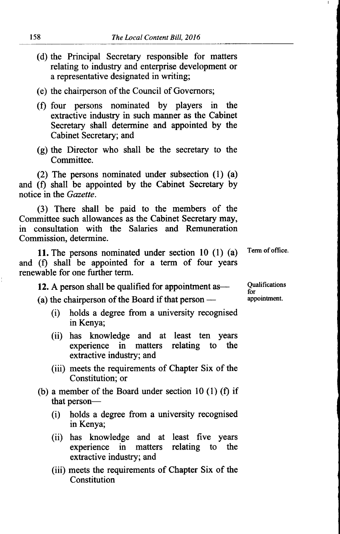- (d) the Principal Secretary responsible for matters relating to industry and enterprise development or a representative designated in writing;
- (e) the chairperson of the Council of Governors;
- (f) four persons nominated by players in the extactive industry in such manner as the Cabinet Secretary shall determine and appointed by the Cabinet Secretary; and
- (g) the Director who shall be the secretary to the Committee.

(2) The persons nominated under subsection (l) (a) and (f) shall be appointed by the Cabinet Secretary by notice in the Gazette.

(3) There shall be paid to the members of the Committee such allowances as the Cabinet Secretary may, in consultation with the Salaries and Remuneration Commission, determine.

11. The persons nominated under section 10 (1) (a) Term of office. and (f) shall be appointed for a term of four years renewable for one further term.

12. A person shall be qualified for appointment as  $\frac{Qualifications}{for}$ 

(a) the chairperson of the Board if that person  $-\left( \frac{1}{2} \right)$ 

- (i) holds a degree from a university recognised in Kenya;
- (ii) has knowledge and at least ten years<br>experience in matters relating to the experience in matters relating to extractive industry; and
- (iii) meets the requirements of Chapter Six of the Constitution; or
- (b) a member of the Board under section 10 (1) (f) if that person-
	- (i) holds a degree from a university recognised in Kenya;
	- (ii) has knowledge and at least five years experience in matters relating to the extractive industry; and
	- (iii) meets the requirements of Chapter Six of the Constitution

appointnent.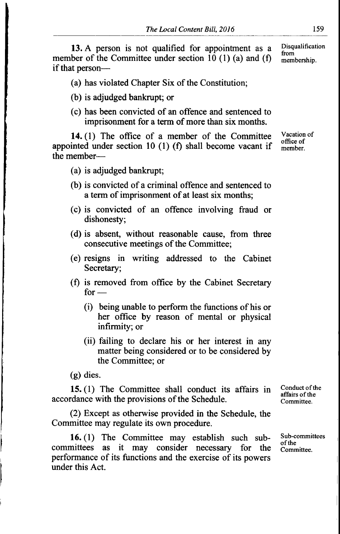13. A person is not qualified for appointment as a member of the Committee under section 10 (1) (a) and (f) if that person-Disqualification from mernbership.

(a) has violated Chapter Six of the Constitution;

- (b) is adjudged bankrupt; or
- (c) has been convicted of an offence and sentenced to imprisonment for a term of more than six months.

14. (1) The office of a member of the Committee appointed under section 10  $(1)$  (f) shall become vacant if the member $-$ 

- (a) is adjudged bankrupt;
- (b) is convicted of a criminal offence and sentenced to a term of imprisonment of at least six months;
- (c) is convicted of an offence involving fraud or dishonesty;
- (d) is absent, without reasonable cause, from three consecutive meetings of the Committee;
- (e) resigns in writing addressed to the Cabinet Secretary;
- (f) is removed from office by the Cabinet Secretary for  $-$ 
	- (i) being unable to perform the functions of his or her office by reason of mental or physical infirmity; or
	- (ii) failing to declare his or her interest in any matter being considered or to be considered by the Committee; or

(g) dies.

15. (1) The Committee shall conduct its affairs in accordance with the provisions of the Schedule.

(2) Except as otherwise provided in the Schedule, the Committee may regulate its own procedure.

16. (1) The Committee may establish such subcommittees as it may consider necessary for the performance of its functions and the exercise of its powers under this Act.

Conduct of the affairs of the Committee.

Sub-committees of the Committee.

Vacation of oflice of member.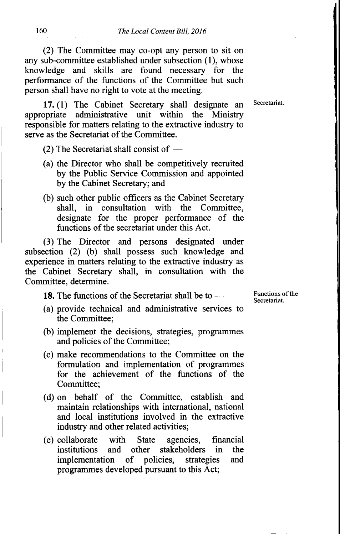(2) The Committee may co-opt any person to sit on any sub-committee established under subsection (1), whose knowledge and skills are found necessary for the performance of the functions of the Committee but such person shall have no right to vote at the meeting.

17. (1) The Cabinet Secretary shall designate an Secretariat. appropriate administrative unit within the Ministry responsible for matters relating to the extractive industry to serve as the Secretariat of the Committee.

(2) The Secretariat shall consist of -

- (a) the Director who shall be competitively recruited by the Public Service Commission and appointed by the Cabinet Secretary; and
- (b) such other public officers as the Cabinet Secretary shall, in consultation with the Committee, designate for the proper performance of the functions of the secretariat under this Act.

(3) The Director and persons designated under subsection (2) (b) shall possess such knowledge and experience in matters relating to the extractive industry as the Cabinet Secretary shall, in consultation with the Committee, determine.

18. The functions of the Secretariat shall be to —

- **16.** The functions of the secretarial shall be to  $-\alpha$ <br>(a) provide technical and administrative services to the Committee;
- (b) implement the decisions, strategies, programmes and policies of the Committee;
- (c) make recommendations to the Committee on the formulation and implementation of programmes for the achievement of the functions of the Committee;
- (d) on behalf of the Committee, establish and maintain relationships with international, national and local institutions involved in the extractive industry and other related activities;
- (e) collaborate with State agencies, financial other stakeholders<br>of policies, strates implementation of policies, strategies and programmes developed pursuant to this Act;

Functions of the Secretariat.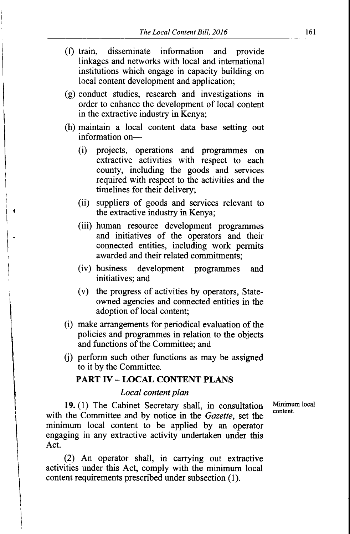- (f) train, disseminate information and provide linkages and networks with local and international institutions which engage in capacity building on local content development and application;
- (g) conduct studies, research and investigations in order to enhance the development of local content in the extractive industry in Kenya;
- (h) maintain a local content data base seffing out information on-
	- (i) projects, operations and programmes on extractive activities with respect to each county, including the goods and services required with respect to the activities and the timelines for their delivery;
	- (ii) suppliers of goods and services relevant to the extractive industry in Kenya;

f

- (iii) human resource development programmes and initiatives of the operators and their connected entities, including work permits awarded and their related commitments;
- (iv) business development programmes and initiatives; and
- (v) the progress of activities by operators, Stateowned agencies and connected entities in the adoption of local content;
- (i) make arrangements for periodical evaluation of the policies and programmes in relation to the objects and functions of the Committee; and
- $(i)$  perform such other functions as may be assigned to it by the Committee.

#### PART IV - LOCAL CONTENT PLANS

#### Local content plan

19. (1) The Cabinet Secretary shall, in consultation Minimum local content. with the Committee and by notice in the Gazette, set the minimum local content to be applied by an operator engaging in any extractive activity undertaken under this Act.

(2) An operator shall, in carrying out extractive activities under this Act, comply with the minimum local content requirements prescribed under subsection (1).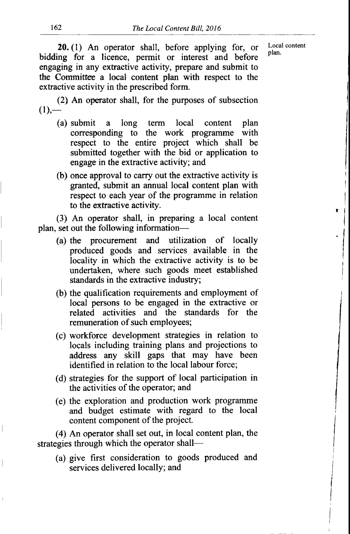/ i

٠

/ l I I

20. (1) An operator shall, before applying for, or bidding for a licence, permit or interest and before engaging in any extractive activity, prepare and submit to the Corrmittee a local content plan with respect to the extractive activity in the prescribed form.

(2) An operator shall, for the purposes of subsection  $(1)$ ,—

- (a) submit a long term local content plan corresponding to the work programme with respect to the entire project which shall be submitted together with the bid or application to engage in the extractive activity; and
- (b) once approval to carry out the extractive activity is granted, submit an annual local content plan with respect to each year of the programme in relation to the extractive activity.

(3) An operator shall, in preparing a local content plan, set out the following information-

- (a) the procurement and utilization of locally produced goods and services available in the locality in which the extractive activity is to be undertaken, where such goods meet established standards in the extractive industry;
- (b) the qualification requirements and employment of local persons to be engaged in the extractive or related activities and the standards for the remuneration of such employees;
- (c) workforce development strategies in relation to locals including training plans and projections to address any skill gaps that may have been identified in relation to the local labour force;
- (d) strategies for the support of local participation in the activities of the operator; and
- (e) the exploration and production work programme and budget estimate with regard to the local content component of the project.

(4) An operator shall set out, in local content plan, the strategies through which the operator shall-

(a) give first consideration to goods produced and services delivered locally; and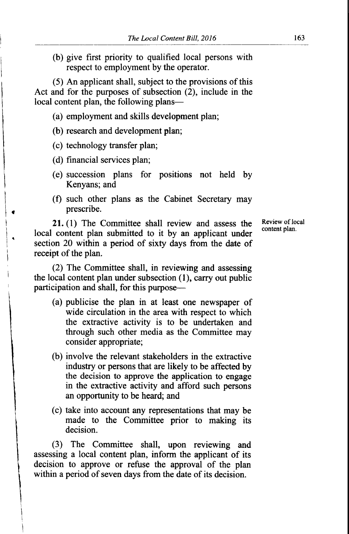(b) give first priority to qualified local persons with respect to employment by the operator.

(5) An applicant shall, subject to the provisions of this Act and for the purposes of subsection  $(2)$ , include in the local content plan, the following plans-

- (a) employment and skills development plan;
- (b) research and development plan;
- (c) technology transfer plan;
- (d) financial services plan;
- (e) succession plans for positions not held by Kenyans; and
- (f) such other plans as the Cabinet Secretary may prescribe.

21. (1) The Committee shall review and assess the local content plan submiffed to it by an applicant under section 20 within a period of sixty days from the date of receipt of the plan.

(2) The Committee shall, in reviewing and assessing the local content plan under subsection (1), carry out public participation and shall, for this purpose-

- (a) publicise the plan in at least one newspaper of wide circulation in the area with respect to which the extractive activity is to be undertaken and through such other media as the Committee may consider appropriate;
- (b) involve the relevant stakeholders in the extractive industry or persons that are likely to be affected by the decision to approve the application to engage in the extractive activity and afford such persons an opportunity to be heard; and
- (c) take into account any representations that may be made to the Committee prior to making its decision.

(3) The Committee shall, upon reviewing and assessing a local content plan, inform the applicant of its decision to approve or refuse the approval of the plan within a period of seven days from the date of its decision.

Review of local content plan.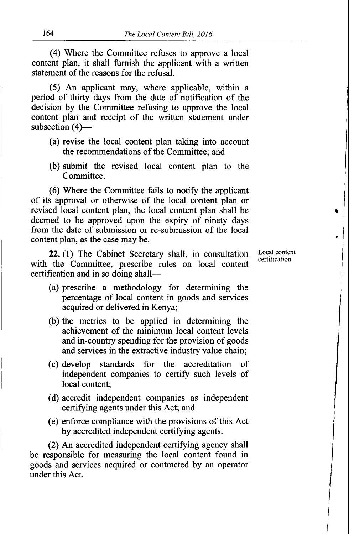(4) Where the Committee refuses to approve a local content plan, it shall furnish the applicant with a written statement of the reasons for the refusal.

(5) An applicant may, where applicable, within <sup>a</sup> period of thirty days from the date of notification of the decision by the Committee refusing to approve the local content plan and receipt of the written statement under subsection  $(4)$ —

- (a) revise the local content plan taking into account the recommendations of the Committee; and
- (b) submit the revised local content plan to the Committee.

(6) Where the Committee fails to notiff the applicant of its approval or otherwise of the local content plan or revised local content plan, the local content plan shall be deemed to be approved upon the expiry of ninety days from the date of submission or re-submission of the local content plan, as the case may be.

22. (l) The Cabinet Secretary shall, in consultation with the Committee, prescribe rules on local content certification and in so doing shallLocal content certification.

 $\cdot$ 

I

I

I I

- (a) prescribe a methodology for determining the percentage of local content in goods and services acquired or delivered in Kenya;
- (b) the metrics to be applied in determining the achievement of the minimum local content levels and in-country spending for the provision of goods and services in the extractive industry value chain;
- (c) develop standards for the accreditation of independent companies to certify such levels of local content;
- (d) accredit independent companies as independent certifying agents under this Act; and
- (e) enforce compliance with the provisions of this Act by accredited independent certifying agents.

(2) An accredited independent certiffing agency shall be responsible for measuring the local content found in goods and services acquired or contracted by an operator under this Act.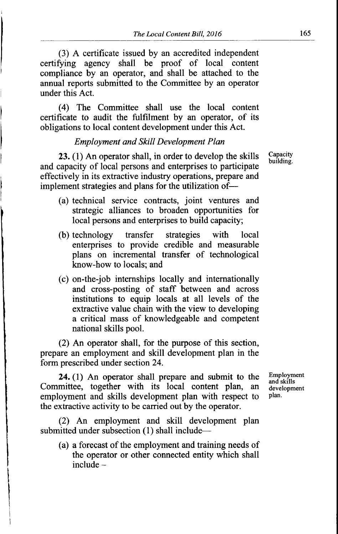(3) A certificate issued by an accredited independent certiffing agency shall be proof of local content compliance by an operator, and shall be attached to the annual reports submitted to the Committee by an operator under this Act.

(4) The Committee shall use the local content certificate to audit the fulfilment by an operator, of its obligations to local content development under this Act.

#### Employment and Skill Development Plan

23. (1) An operator shall, in order to develop the skills and capacity of local persons and enterprises to participate effectively in its extractive industry operations, prepare and implement strategies and plans for the utilization of---

- (a) technical service contracts, joint ventures and strategic alliances to broaden opportunities for local persons and enterprises to build capacity;
- (b) technology transfer strategies with local enterprises to provide credible and measurable plans on incremental transfer of technological know-how to locals; and
- (c) on-the-job internships locally and internationally and cross-posting of staff between and across institutions to equip locals at all levels of the extractive value chain with the view to developing a critical mass of knowledgeable and competent national skills pool.

(2) An operator shall, for the purpose of this section, prepare an employment and skill development plan in the form prescribed under section 24.

24. (1) An operator shall prepare and submit to the Committee, together with its local content plan, an employment and skills development plan with respect to the extractive activity to be carried out by the operator.

(2) An employment and skill development plan submitted under subsection (1) shall include-

(a) a forecast of the employment and training needs of the operator or other connected entity which shall  $include -$ 

Employment and skills development plan.

**Capacity** building.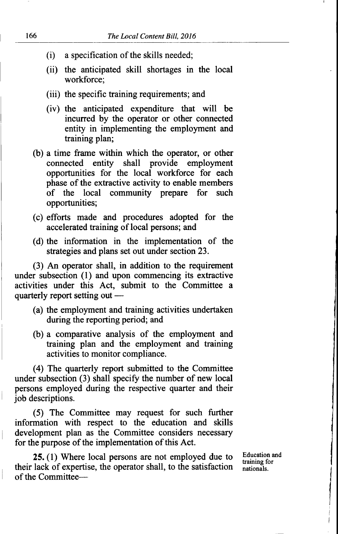- $(i)$  a specification of the skills needed;
- (ii) the anticipated skill shortages in the local workforce;
- (iii) the specific training requirements; and
- (iv) the anticipated expenditure that will be incurred by the operator or other connected entity in implementing the employment and training plan;
- (b) a time frame within which the operator, or other connected entity shall provide employment opportunities for the local workforce for each phase of the extractive activity to enable members of the local community prepare for such opportunities;
- (c) efforts made and procedures adopted for the accelerated training of local persons; and
- (d) the information in the implementation of the strategies and plans set out under section 23.

(3) An operator shall, in addition to the requirement under subsection (l) and upon commencing its extractive activities under this Act, submit to the Committee <sup>a</sup> quarterly report setting out –

- (a) the employment and training activities undertaken during the reporting period; and
- (b) a comparative analysis of the employment and training plan and the employment and training activities to monitor compliance.

(a) The quarterly report submitted to the Committee under subsection (3) shall specify the number of new local persons employed during the respective quarter and their job descriptions.

(5) The Committee may request for such further information with respect to the education and skills development plan as the Committee considers necessary for the purpose of the implementation of this Act.

25. (1) Where local persons are not employed due to their lack of expertise, the operator shall, to the satisfaction of the CommitteeEducation and training for nationals.

I